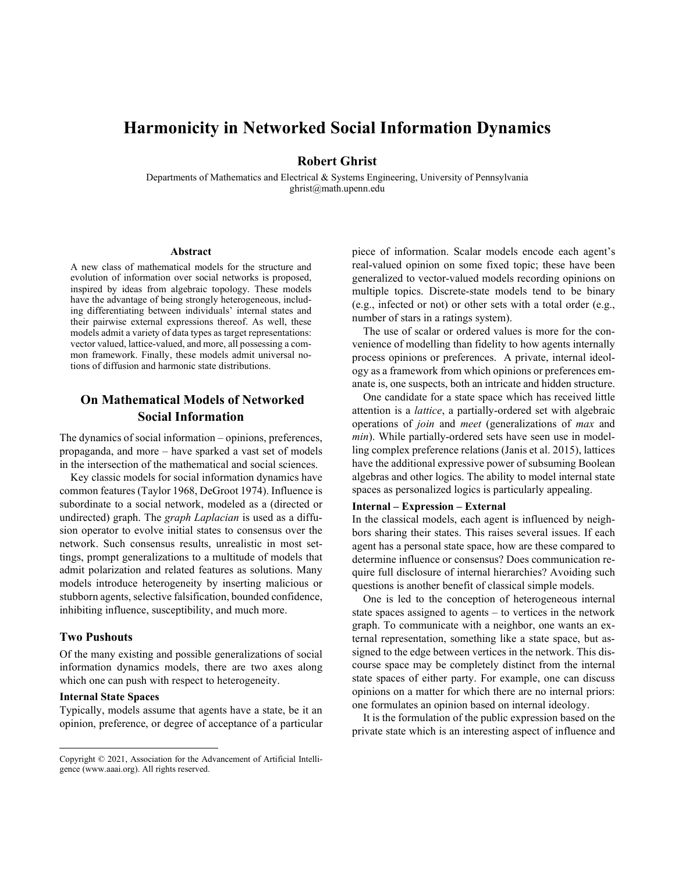# **Harmonicity in Networked Social Information Dynamics**

# **Robert Ghrist**

Departments of Mathematics and Electrical & Systems Engineering, University of Pennsylvania ghrist@math.upenn.edu

#### **Abstract**

A new class of mathematical models for the structure and evolution of information over social networks is proposed, inspired by ideas from algebraic topology. These models have the advantage of being strongly heterogeneous, including differentiating between individuals' internal states and their pairwise external expressions thereof. As well, these models admit a variety of data types as target representations: vector valued, lattice-valued, and more, all possessing a common framework. Finally, these models admit universal notions of diffusion and harmonic state distributions.

# **On Mathematical Models of Networked Social Information**

The dynamics of social information – opinions, preferences, propaganda, and more – have sparked a vast set of models in the intersection of the mathematical and social sciences.

Key classic models for social information dynamics have common features (Taylor 1968, DeGroot 1974). Influence is subordinate to a social network, modeled as a (directed or undirected) graph. The *graph Laplacian* is used as a diffusion operator to evolve initial states to consensus over the network. Such consensus results, unrealistic in most settings, prompt generalizations to a multitude of models that admit polarization and related features as solutions. Many models introduce heterogeneity by inserting malicious or stubborn agents, selective falsification, bounded confidence, inhibiting influence, susceptibility, and much more.

## **Two Pushouts**

Of the many existing and possible generalizations of social information dynamics models, there are two axes along which one can push with respect to heterogeneity.

### **Internal State Spaces**

Typically, models assume that agents have a state, be it an opinion, preference, or degree of acceptance of a particular

piece of information. Scalar models encode each agent's real-valued opinion on some fixed topic; these have been generalized to vector-valued models recording opinions on multiple topics. Discrete-state models tend to be binary (e.g., infected or not) or other sets with a total order (e.g., number of stars in a ratings system).

The use of scalar or ordered values is more for the convenience of modelling than fidelity to how agents internally process opinions or preferences. A private, internal ideology as a framework from which opinions or preferences emanate is, one suspects, both an intricate and hidden structure.

One candidate for a state space which has received little attention is a *lattice*, a partially-ordered set with algebraic operations of *join* and *meet* (generalizations of *max* and *min*). While partially-ordered sets have seen use in modelling complex preference relations (Janis et al. 2015), lattices have the additional expressive power of subsuming Boolean algebras and other logics. The ability to model internal state spaces as personalized logics is particularly appealing.

#### **Internal – Expression – External**

In the classical models, each agent is influenced by neighbors sharing their states. This raises several issues. If each agent has a personal state space, how are these compared to determine influence or consensus? Does communication require full disclosure of internal hierarchies? Avoiding such questions is another benefit of classical simple models.

One is led to the conception of heterogeneous internal state spaces assigned to agents – to vertices in the network graph. To communicate with a neighbor, one wants an external representation, something like a state space, but assigned to the edge between vertices in the network. This discourse space may be completely distinct from the internal state spaces of either party. For example, one can discuss opinions on a matter for which there are no internal priors: one formulates an opinion based on internal ideology.

It is the formulation of the public expression based on the private state which is an interesting aspect of influence and

Copyright © 2021, Association for the Advancement of Artificial Intelligence (www.aaai.org). All rights reserved.